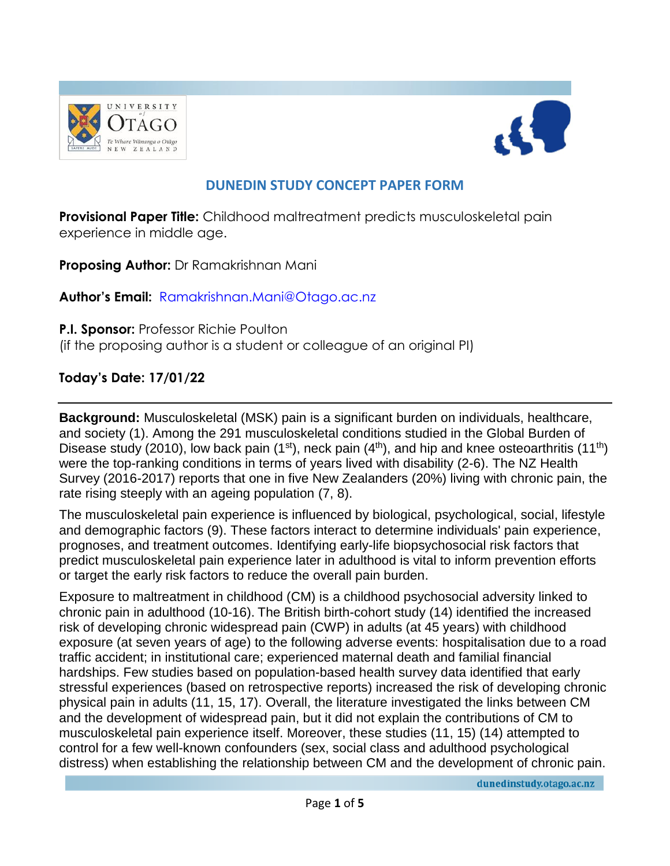



# **DUNEDIN STUDY CONCEPT PAPER FORM**

**Provisional Paper Title:** Childhood maltreatment predicts musculoskeletal pain experience in middle age.

**Proposing Author:** Dr Ramakrishnan Mani

**Author's Email:** [Ramakrishnan.Mani@Otago.ac.nz](mailto:Ramakrishnan.Mani@Otago.ac.nz)

**P.I. Sponsor:** Professor Richie Poulton

(if the proposing author is a student or colleague of an original PI)

### **Today's Date: 17/01/22**

**Background:** Musculoskeletal (MSK) pain is a significant burden on individuals, healthcare, and society (1). Among the 291 musculoskeletal conditions studied in the Global Burden of Disease study (2010), low back pain (1<sup>st</sup>), neck pain (4<sup>th</sup>), and hip and knee osteoarthritis (11<sup>th</sup>) were the top-ranking conditions in terms of years lived with disability (2-6). The NZ Health Survey (2016-2017) reports that one in five New Zealanders (20%) living with chronic pain, the rate rising steeply with an ageing population (7, 8).

The musculoskeletal pain experience is influenced by biological, psychological, social, lifestyle and demographic factors (9). These factors interact to determine individuals' pain experience, prognoses, and treatment outcomes. Identifying early-life biopsychosocial risk factors that predict musculoskeletal pain experience later in adulthood is vital to inform prevention efforts or target the early risk factors to reduce the overall pain burden.

Exposure to maltreatment in childhood (CM) is a childhood psychosocial adversity linked to chronic pain in adulthood (10-16). The British birth-cohort study (14) identified the increased risk of developing chronic widespread pain (CWP) in adults (at 45 years) with childhood exposure (at seven years of age) to the following adverse events: hospitalisation due to a road traffic accident; in institutional care; experienced maternal death and familial financial hardships. Few studies based on population-based health survey data identified that early stressful experiences (based on retrospective reports) increased the risk of developing chronic physical pain in adults (11, 15, 17). Overall, the literature investigated the links between CM and the development of widespread pain, but it did not explain the contributions of CM to musculoskeletal pain experience itself. Moreover, these studies (11, 15) (14) attempted to control for a few well-known confounders (sex, social class and adulthood psychological distress) when establishing the relationship between CM and the development of chronic pain.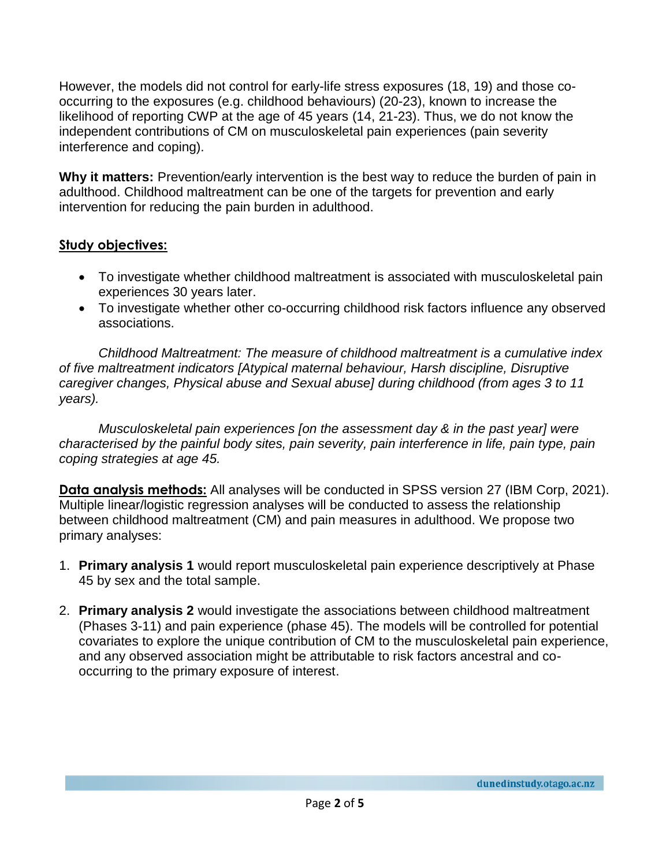However, the models did not control for early-life stress exposures (18, 19) and those cooccurring to the exposures (e.g. childhood behaviours) (20-23), known to increase the likelihood of reporting CWP at the age of 45 years (14, 21-23). Thus, we do not know the independent contributions of CM on musculoskeletal pain experiences (pain severity interference and coping).

**Why it matters:** Prevention/early intervention is the best way to reduce the burden of pain in adulthood. Childhood maltreatment can be one of the targets for prevention and early intervention for reducing the pain burden in adulthood.

### **Study objectives:**

- To investigate whether childhood maltreatment is associated with musculoskeletal pain experiences 30 years later.
- To investigate whether other co-occurring childhood risk factors influence any observed associations.

*Childhood Maltreatment: The measure of childhood maltreatment is a cumulative index of five maltreatment indicators [Atypical maternal behaviour, Harsh discipline, Disruptive caregiver changes, Physical abuse and Sexual abuse] during childhood (from ages 3 to 11 years).* 

*Musculoskeletal pain experiences [on the assessment day & in the past year] were characterised by the painful body sites, pain severity, pain interference in life, pain type, pain coping strategies at age 45.*

**Data analysis methods:** All analyses will be conducted in SPSS version 27 (IBM Corp, 2021). Multiple linear/logistic regression analyses will be conducted to assess the relationship between childhood maltreatment (CM) and pain measures in adulthood. We propose two primary analyses:

- 1. **Primary analysis 1** would report musculoskeletal pain experience descriptively at Phase 45 by sex and the total sample.
- 2. **Primary analysis 2** would investigate the associations between childhood maltreatment (Phases 3-11) and pain experience (phase 45). The models will be controlled for potential covariates to explore the unique contribution of CM to the musculoskeletal pain experience, and any observed association might be attributable to risk factors ancestral and cooccurring to the primary exposure of interest.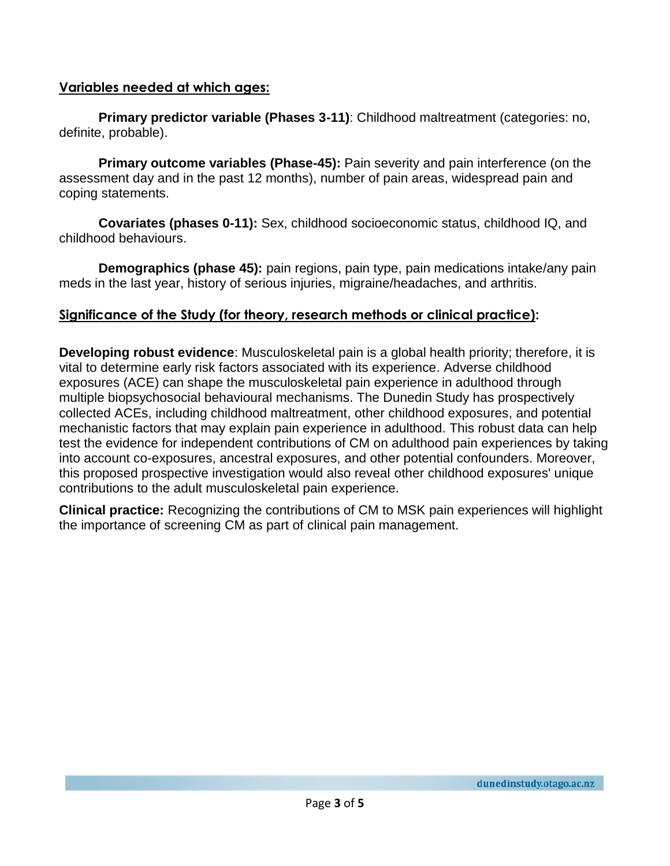#### **Variables needed at which ages:**

**Primary predictor variable (Phases 3-11)**: Childhood maltreatment (categories: no, definite, probable).

**Primary outcome variables (Phase-45):** Pain severity and pain interference (on the assessment day and in the past 12 months), number of pain areas, widespread pain and coping statements.

**Covariates (phases 0-11):** Sex, childhood socioeconomic status, childhood IQ, and childhood behaviours.

**Demographics (phase 45):** pain regions, pain type, pain medications intake/any pain meds in the last year, history of serious injuries, migraine/headaches, and arthritis.

#### **Significance of the Study (for theory, research methods or clinical practice):**

**Developing robust evidence**: Musculoskeletal pain is a global health priority; therefore, it is vital to determine early risk factors associated with its experience. Adverse childhood exposures (ACE) can shape the musculoskeletal pain experience in adulthood through multiple biopsychosocial behavioural mechanisms. The Dunedin Study has prospectively collected ACEs, including childhood maltreatment, other childhood exposures, and potential mechanistic factors that may explain pain experience in adulthood. This robust data can help test the evidence for independent contributions of CM on adulthood pain experiences by taking into account co-exposures, ancestral exposures, and other potential confounders. Moreover, this proposed prospective investigation would also reveal other childhood exposures' unique contributions to the adult musculoskeletal pain experience.

**Clinical practice:** Recognizing the contributions of CM to MSK pain experiences will highlight the importance of screening CM as part of clinical pain management.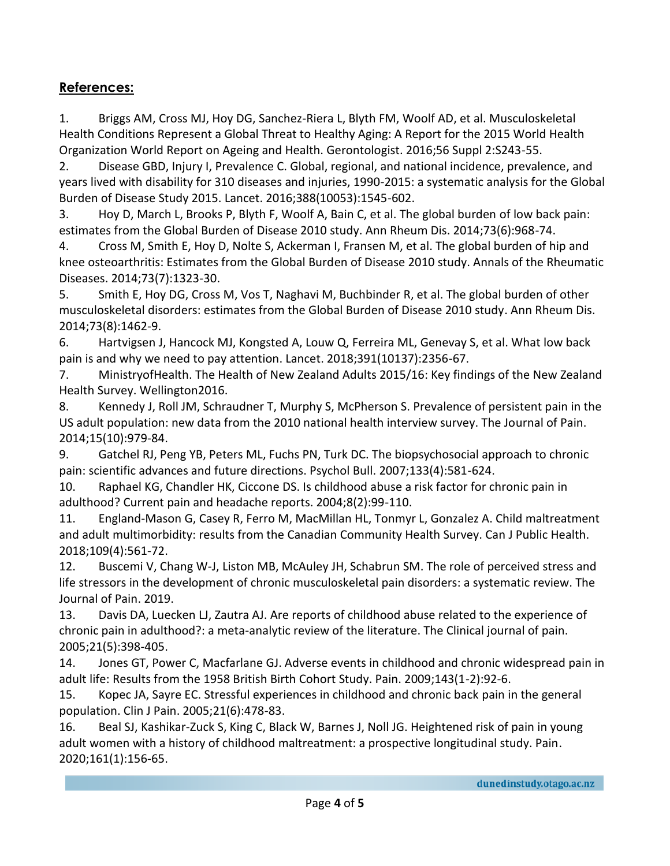## **References:**

1. Briggs AM, Cross MJ, Hoy DG, Sanchez-Riera L, Blyth FM, Woolf AD, et al. Musculoskeletal Health Conditions Represent a Global Threat to Healthy Aging: A Report for the 2015 World Health Organization World Report on Ageing and Health. Gerontologist. 2016;56 Suppl 2:S243-55.

2. Disease GBD, Injury I, Prevalence C. Global, regional, and national incidence, prevalence, and years lived with disability for 310 diseases and injuries, 1990-2015: a systematic analysis for the Global Burden of Disease Study 2015. Lancet. 2016;388(10053):1545-602.

3. Hoy D, March L, Brooks P, Blyth F, Woolf A, Bain C, et al. The global burden of low back pain: estimates from the Global Burden of Disease 2010 study. Ann Rheum Dis. 2014;73(6):968-74.

4. Cross M, Smith E, Hoy D, Nolte S, Ackerman I, Fransen M, et al. The global burden of hip and knee osteoarthritis: Estimates from the Global Burden of Disease 2010 study. Annals of the Rheumatic Diseases. 2014;73(7):1323-30.

5. Smith E, Hoy DG, Cross M, Vos T, Naghavi M, Buchbinder R, et al. The global burden of other musculoskeletal disorders: estimates from the Global Burden of Disease 2010 study. Ann Rheum Dis. 2014;73(8):1462-9.

6. Hartvigsen J, Hancock MJ, Kongsted A, Louw Q, Ferreira ML, Genevay S, et al. What low back pain is and why we need to pay attention. Lancet. 2018;391(10137):2356-67.

7. MinistryofHealth. The Health of New Zealand Adults 2015/16: Key findings of the New Zealand Health Survey. Wellington2016.

8. Kennedy J, Roll JM, Schraudner T, Murphy S, McPherson S. Prevalence of persistent pain in the US adult population: new data from the 2010 national health interview survey. The Journal of Pain. 2014;15(10):979-84.

9. Gatchel RJ, Peng YB, Peters ML, Fuchs PN, Turk DC. The biopsychosocial approach to chronic pain: scientific advances and future directions. Psychol Bull. 2007;133(4):581-624.

10. Raphael KG, Chandler HK, Ciccone DS. Is childhood abuse a risk factor for chronic pain in adulthood? Current pain and headache reports. 2004;8(2):99-110.

11. England-Mason G, Casey R, Ferro M, MacMillan HL, Tonmyr L, Gonzalez A. Child maltreatment and adult multimorbidity: results from the Canadian Community Health Survey. Can J Public Health. 2018;109(4):561-72.

12. Buscemi V, Chang W-J, Liston MB, McAuley JH, Schabrun SM. The role of perceived stress and life stressors in the development of chronic musculoskeletal pain disorders: a systematic review. The Journal of Pain. 2019.

13. Davis DA, Luecken LJ, Zautra AJ. Are reports of childhood abuse related to the experience of chronic pain in adulthood?: a meta-analytic review of the literature. The Clinical journal of pain. 2005;21(5):398-405.

14. Jones GT, Power C, Macfarlane GJ. Adverse events in childhood and chronic widespread pain in adult life: Results from the 1958 British Birth Cohort Study. Pain. 2009;143(1-2):92-6.

15. Kopec JA, Sayre EC. Stressful experiences in childhood and chronic back pain in the general population. Clin J Pain. 2005;21(6):478-83.

16. Beal SJ, Kashikar-Zuck S, King C, Black W, Barnes J, Noll JG. Heightened risk of pain in young adult women with a history of childhood maltreatment: a prospective longitudinal study. Pain. 2020;161(1):156-65.